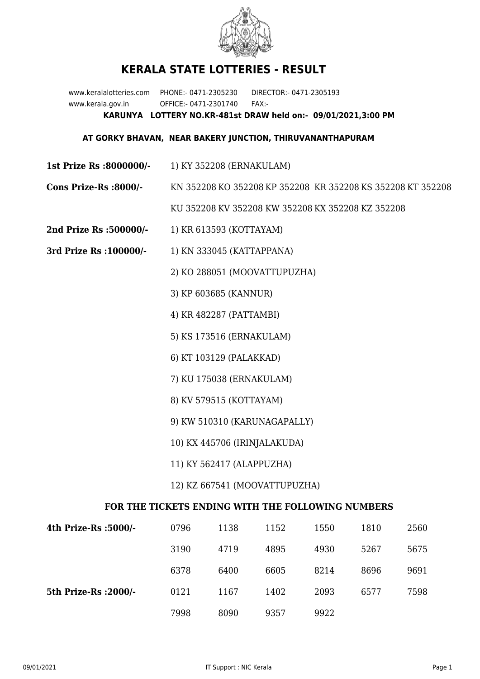

## **KERALA STATE LOTTERIES - RESULT**

www.keralalotteries.com PHONE:- 0471-2305230 DIRECTOR:- 0471-2305193 www.kerala.gov.in OFFICE:- 0471-2301740 FAX:- **KARUNYA LOTTERY NO.KR-481st DRAW held on:- 09/01/2021,3:00 PM**

## **AT GORKY BHAVAN, NEAR BAKERY JUNCTION, THIRUVANANTHAPURAM**

- **1st Prize Rs :8000000/-** 1) KY 352208 (ERNAKULAM)
- **Cons Prize-Rs :8000/-** KN 352208 KO 352208 KP 352208 KR 352208 KS 352208 KT 352208

KU 352208 KV 352208 KW 352208 KX 352208 KZ 352208

- **2nd Prize Rs :500000/-** 1) KR 613593 (KOTTAYAM)
- **3rd Prize Rs :100000/-** 1) KN 333045 (KATTAPPANA)

2) KO 288051 (MOOVATTUPUZHA)

3) KP 603685 (KANNUR)

- 4) KR 482287 (PATTAMBI)
- 5) KS 173516 (ERNAKULAM)
- 6) KT 103129 (PALAKKAD)
- 7) KU 175038 (ERNAKULAM)
- 8) KV 579515 (KOTTAYAM)
- 9) KW 510310 (KARUNAGAPALLY)
- 10) KX 445706 (IRINJALAKUDA)
- 11) KY 562417 (ALAPPUZHA)
- 12) KZ 667541 (MOOVATTUPUZHA)

## **FOR THE TICKETS ENDING WITH THE FOLLOWING NUMBERS**

| 4th Prize-Rs :5000/-  | 0796 | 1138 | 1152 | 1550 | 1810 | 2560 |
|-----------------------|------|------|------|------|------|------|
|                       | 3190 | 4719 | 4895 | 4930 | 5267 | 5675 |
|                       | 6378 | 6400 | 6605 | 8214 | 8696 | 9691 |
| 5th Prize-Rs : 2000/- | 0121 | 1167 | 1402 | 2093 | 6577 | 7598 |
|                       | 7998 | 8090 | 9357 | 9922 |      |      |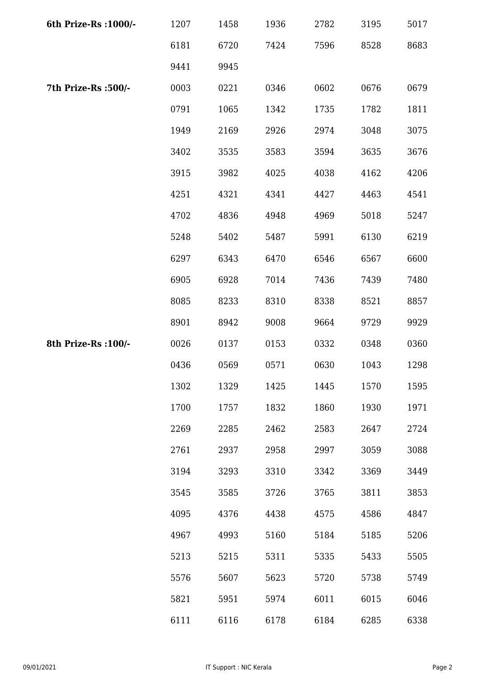| 6th Prize-Rs : 1000/- | 1207 | 1458 | 1936 | 2782 | 3195 | 5017 |
|-----------------------|------|------|------|------|------|------|
|                       | 6181 | 6720 | 7424 | 7596 | 8528 | 8683 |
|                       | 9441 | 9945 |      |      |      |      |
| 7th Prize-Rs :500/-   | 0003 | 0221 | 0346 | 0602 | 0676 | 0679 |
|                       | 0791 | 1065 | 1342 | 1735 | 1782 | 1811 |
|                       | 1949 | 2169 | 2926 | 2974 | 3048 | 3075 |
|                       | 3402 | 3535 | 3583 | 3594 | 3635 | 3676 |
|                       | 3915 | 3982 | 4025 | 4038 | 4162 | 4206 |
|                       | 4251 | 4321 | 4341 | 4427 | 4463 | 4541 |
|                       | 4702 | 4836 | 4948 | 4969 | 5018 | 5247 |
|                       | 5248 | 5402 | 5487 | 5991 | 6130 | 6219 |
|                       | 6297 | 6343 | 6470 | 6546 | 6567 | 6600 |
|                       | 6905 | 6928 | 7014 | 7436 | 7439 | 7480 |
|                       | 8085 | 8233 | 8310 | 8338 | 8521 | 8857 |
|                       | 8901 | 8942 | 9008 | 9664 | 9729 | 9929 |
| 8th Prize-Rs : 100/-  | 0026 | 0137 | 0153 | 0332 | 0348 | 0360 |
|                       | 0436 | 0569 | 0571 | 0630 | 1043 | 1298 |
|                       | 1302 | 1329 | 1425 | 1445 | 1570 | 1595 |
|                       | 1700 | 1757 | 1832 | 1860 | 1930 | 1971 |
|                       | 2269 | 2285 | 2462 | 2583 | 2647 | 2724 |
|                       | 2761 | 2937 | 2958 | 2997 | 3059 | 3088 |
|                       | 3194 | 3293 | 3310 | 3342 | 3369 | 3449 |
|                       | 3545 | 3585 | 3726 | 3765 | 3811 | 3853 |
|                       | 4095 | 4376 | 4438 | 4575 | 4586 | 4847 |
|                       | 4967 | 4993 | 5160 | 5184 | 5185 | 5206 |
|                       | 5213 | 5215 | 5311 | 5335 | 5433 | 5505 |
|                       | 5576 | 5607 | 5623 | 5720 | 5738 | 5749 |
|                       | 5821 | 5951 | 5974 | 6011 | 6015 | 6046 |
|                       | 6111 | 6116 | 6178 | 6184 | 6285 | 6338 |